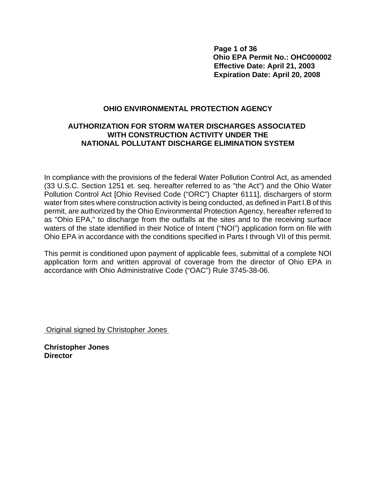**Page 1 of 36 Ohio EPA Permit No.: OHC000002 Effective Date: April 21, 2003 Expiration Date: April 20, 2008**

## **OHIO ENVIRONMENTAL PROTECTION AGENCY**

## **AUTHORIZATION FOR STORM WATER DISCHARGES ASSOCIATED WITH CONSTRUCTION ACTIVITY UNDER THE NATIONAL POLLUTANT DISCHARGE ELIMINATION SYSTEM**

In compliance with the provisions of the federal Water Pollution Control Act, as amended (33 U.S.C. Section 1251 et. seq. hereafter referred to as "the Act") and the Ohio Water Pollution Control Act [Ohio Revised Code ("ORC") Chapter 6111], dischargers of storm water from sites where construction activity is being conducted, as defined in Part I.B of this permit, are authorized by the Ohio Environmental Protection Agency, hereafter referred to as "Ohio EPA," to discharge from the outfalls at the sites and to the receiving surface waters of the state identified in their Notice of Intent ("NOI") application form on file with Ohio EPA in accordance with the conditions specified in Parts I through VII of this permit.

This permit is conditioned upon payment of applicable fees, submittal of a complete NOI application form and written approval of coverage from the director of Ohio EPA in accordance with Ohio Administrative Code ("OAC") Rule 3745-38-06.

Original signed by Christopher Jones

**Christopher Jones Director**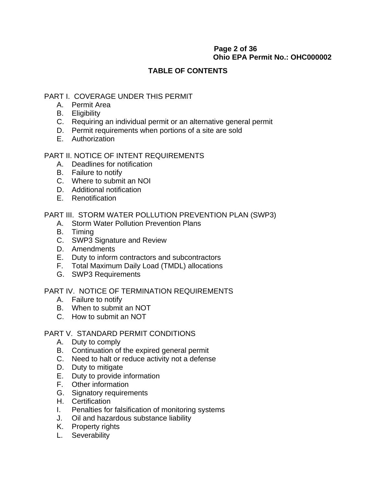# **Page 2 of 36 Ohio EPA Permit No.: OHC000002**

# **TABLE OF CONTENTS**

# PART I. COVERAGE UNDER THIS PERMIT

- A. Permit Area
- B. Eligibility
- C. Requiring an individual permit or an alternative general permit
- D. Permit requirements when portions of a site are sold
- E. Authorization

# PART II. NOTICE OF INTENT REQUIREMENTS

- A. Deadlines for notification
- B. Failure to notify
- C. Where to submit an NOI
- D. Additional notification
- E. Renotification

PART III. STORM WATER POLLUTION PREVENTION PLAN (SWP3)

- A. Storm Water Pollution Prevention Plans
- B. Timing
- C. SWP3 Signature and Review
- D. Amendments
- E. Duty to inform contractors and subcontractors
- F. Total Maximum Daily Load (TMDL) allocations
- G. SWP3 Requirements

# PART IV. NOTICE OF TERMINATION REQUIREMENTS

- A. Failure to notify
- B. When to submit an NOT
- C. How to submit an NOT

## PART V. STANDARD PERMIT CONDITIONS

- A. Duty to comply
- B. Continuation of the expired general permit
- C. Need to halt or reduce activity not a defense
- D. Duty to mitigate
- E. Duty to provide information
- F. Other information
- G. Signatory requirements
- H. Certification
- I. Penalties for falsification of monitoring systems
- J. Oil and hazardous substance liability
- K. Property rights
- L. Severability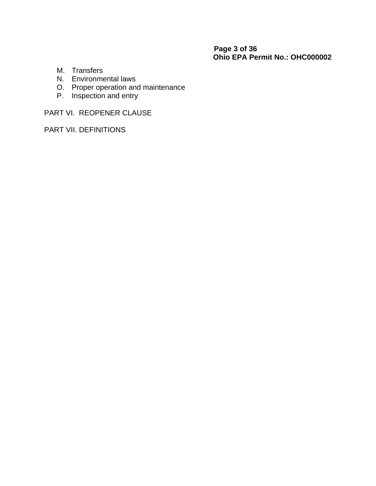# **Page 3 of 36 Ohio EPA Permit No.: OHC000002**

- M. Transfers
- N. Environmental laws
- O. Proper operation and maintenance
- P. Inspection and entry

PART VI. REOPENER CLAUSE

PART VII. DEFINITIONS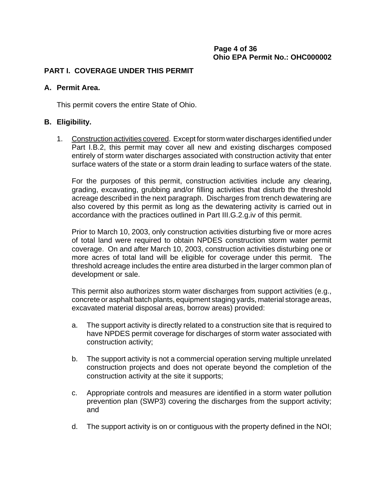# **Page 4 of 36 Ohio EPA Permit No.: OHC000002**

## **PART I. COVERAGE UNDER THIS PERMIT**

### **A. Permit Area.**

This permit covers the entire State of Ohio.

## **B. Eligibility.**

1. Construction activities covered. Except for storm water discharges identified under Part I.B.2, this permit may cover all new and existing discharges composed entirely of storm water discharges associated with construction activity that enter surface waters of the state or a storm drain leading to surface waters of the state.

For the purposes of this permit, construction activities include any clearing, grading, excavating, grubbing and/or filling activities that disturb the threshold acreage described in the next paragraph. Discharges from trench dewatering are also covered by this permit as long as the dewatering activity is carried out in accordance with the practices outlined in Part III.G.2.g.iv of this permit.

Prior to March 10, 2003, only construction activities disturbing five or more acres of total land were required to obtain NPDES construction storm water permit coverage. On and after March 10, 2003, construction activities disturbing one or more acres of total land will be eligible for coverage under this permit. The threshold acreage includes the entire area disturbed in the larger common plan of development or sale.

This permit also authorizes storm water discharges from support activities (e.g., concrete or asphalt batch plants, equipment staging yards, material storage areas, excavated material disposal areas, borrow areas) provided:

- a. The support activity is directly related to a construction site that is required to have NPDES permit coverage for discharges of storm water associated with construction activity;
- b. The support activity is not a commercial operation serving multiple unrelated construction projects and does not operate beyond the completion of the construction activity at the site it supports;
- c. Appropriate controls and measures are identified in a storm water pollution prevention plan (SWP3) covering the discharges from the support activity; and
- d. The support activity is on or contiguous with the property defined in the NOI;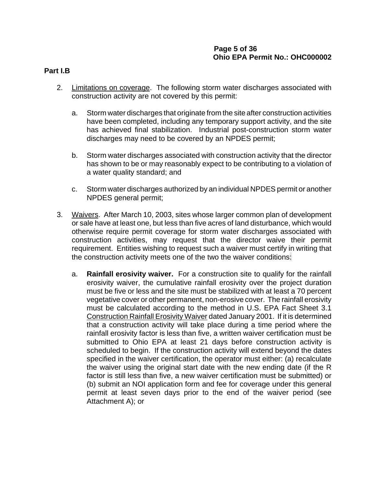# **Page 5 of 36 Ohio EPA Permit No.: OHC000002**

#### **Part I.B**

- 2. Limitations on coverage. The following storm water discharges associated with construction activity are not covered by this permit:
	- a. Storm water discharges that originate from the site after construction activities have been completed, including any temporary support activity, and the site has achieved final stabilization. Industrial post-construction storm water discharges may need to be covered by an NPDES permit;
	- b. Storm water discharges associated with construction activity that the director has shown to be or may reasonably expect to be contributing to a violation of a water quality standard; and
	- c. Storm water discharges authorized by an individual NPDES permit or another NPDES general permit;
- 3. Waivers. After March 10, 2003, sites whose larger common plan of development or sale have at least one, but less than five acres of land disturbance, which would otherwise require permit coverage for storm water discharges associated with construction activities, may request that the director waive their permit requirement. Entities wishing to request such a waiver must certify in writing that the construction activity meets one of the two the waiver conditions:
	- a. **Rainfall erosivity waiver.** For a construction site to qualify for the rainfall erosivity waiver, the cumulative rainfall erosivity over the project duration must be five or less and the site must be stabilized with at least a 70 percent vegetative cover or other permanent, non-erosive cover. The rainfall erosivity must be calculated according to the method in U.S. EPA Fact Sheet 3.1 Construction Rainfall Erosivity Waiver dated January 2001. If it is determined that a construction activity will take place during a time period where the rainfall erosivity factor is less than five, a written waiver certification must be submitted to Ohio EPA at least 21 days before construction activity is scheduled to begin. If the construction activity will extend beyond the dates specified in the waiver certification, the operator must either: (a) recalculate the waiver using the original start date with the new ending date (if the R factor is still less than five, a new waiver certification must be submitted) or (b) submit an NOI application form and fee for coverage under this general permit at least seven days prior to the end of the waiver period (see Attachment A); or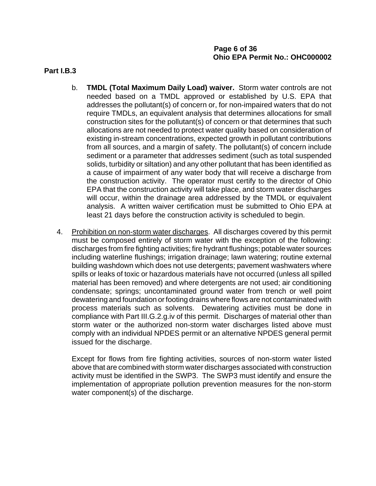## **Part I.B.3**

- b. **TMDL (Total Maximum Daily Load) waiver.** Storm water controls are not needed based on a TMDL approved or established by U.S. EPA that addresses the pollutant(s) of concern or, for non-impaired waters that do not require TMDLs, an equivalent analysis that determines allocations for small construction sites for the pollutant(s) of concern or that determines that such allocations are not needed to protect water quality based on consideration of existing in-stream concentrations, expected growth in pollutant contributions from all sources, and a margin of safety. The pollutant(s) of concern include sediment or a parameter that addresses sediment (such as total suspended solids, turbidity or siltation) and any other pollutant that has been identified as a cause of impairment of any water body that will receive a discharge from the construction activity. The operator must certify to the director of Ohio EPA that the construction activity will take place, and storm water discharges will occur, within the drainage area addressed by the TMDL or equivalent analysis. A written waiver certification must be submitted to Ohio EPA at least 21 days before the construction activity is scheduled to begin.
- 4. Prohibition on non-storm water discharges. All discharges covered by this permit must be composed entirely of storm water with the exception of the following: discharges from fire fighting activities; fire hydrant flushings; potable water sources including waterline flushings; irrigation drainage; lawn watering; routine external building washdown which does not use detergents; pavement washwaters where spills or leaks of toxic or hazardous materials have not occurred (unless all spilled material has been removed) and where detergents are not used; air conditioning condensate; springs; uncontaminated ground water from trench or well point dewatering and foundation or footing drains where flows are not contaminated with process materials such as solvents. Dewatering activities must be done in compliance with Part III.G.2.g.iv of this permit. Discharges of material other than storm water or the authorized non-storm water discharges listed above must comply with an individual NPDES permit or an alternative NPDES general permit issued for the discharge.

Except for flows from fire fighting activities, sources of non-storm water listed above that are combined with storm water discharges associated with construction activity must be identified in the SWP3. The SWP3 must identify and ensure the implementation of appropriate pollution prevention measures for the non-storm water component(s) of the discharge.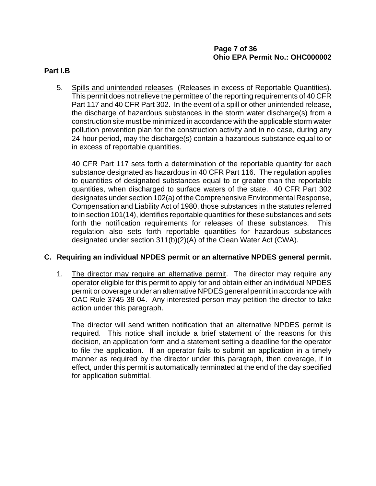## **Page 7 of 36 Ohio EPA Permit No.: OHC000002**

### **Part I.B**

5. Spills and unintended releases (Releases in excess of Reportable Quantities). This permit does not relieve the permittee of the reporting requirements of 40 CFR Part 117 and 40 CFR Part 302. In the event of a spill or other unintended release, the discharge of hazardous substances in the storm water discharge(s) from a construction site must be minimized in accordance with the applicable storm water pollution prevention plan for the construction activity and in no case, during any 24-hour period, may the discharge(s) contain a hazardous substance equal to or in excess of reportable quantities.

40 CFR Part 117 sets forth a determination of the reportable quantity for each substance designated as hazardous in 40 CFR Part 116. The regulation applies to quantities of designated substances equal to or greater than the reportable quantities, when discharged to surface waters of the state. 40 CFR Part 302 designates under section 102(a) of the Comprehensive Environmental Response, Compensation and Liability Act of 1980, those substances in the statutes referred to in section 101(14), identifies reportable quantities for these substances and sets forth the notification requirements for releases of these substances. This regulation also sets forth reportable quantities for hazardous substances designated under section 311(b)(2)(A) of the Clean Water Act (CWA).

## **C. Requiring an individual NPDES permit or an alternative NPDES general permit.**

1. The director may require an alternative permit. The director may require any operator eligible for this permit to apply for and obtain either an individual NPDES permit or coverage under an alternative NPDES general permit in accordance with OAC Rule 3745-38-04. Any interested person may petition the director to take action under this paragraph.

The director will send written notification that an alternative NPDES permit is required. This notice shall include a brief statement of the reasons for this decision, an application form and a statement setting a deadline for the operator to file the application. If an operator fails to submit an application in a timely manner as required by the director under this paragraph, then coverage, if in effect, under this permit is automatically terminated at the end of the day specified for application submittal.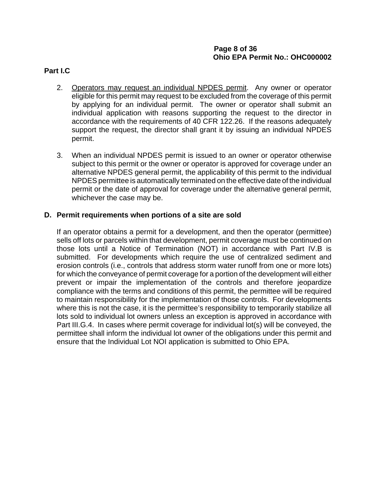## **Page 8 of 36 Ohio EPA Permit No.: OHC000002**

### **Part I.C**

- 2. Operators may request an individual NPDES permit. Any owner or operator eligible for this permit may request to be excluded from the coverage of this permit by applying for an individual permit. The owner or operator shall submit an individual application with reasons supporting the request to the director in accordance with the requirements of 40 CFR 122.26. If the reasons adequately support the request, the director shall grant it by issuing an individual NPDES permit.
- 3. When an individual NPDES permit is issued to an owner or operator otherwise subject to this permit or the owner or operator is approved for coverage under an alternative NPDES general permit, the applicability of this permit to the individual NPDES permittee is automatically terminated on the effective date of the individual permit or the date of approval for coverage under the alternative general permit, whichever the case may be.

### **D. Permit requirements when portions of a site are sold**

If an operator obtains a permit for a development, and then the operator (permittee) sells off lots or parcels within that development, permit coverage must be continued on those lots until a Notice of Termination (NOT) in accordance with Part IV.B is submitted. For developments which require the use of centralized sediment and erosion controls (i.e., controls that address storm water runoff from one or more lots) for which the conveyance of permit coverage for a portion of the development will either prevent or impair the implementation of the controls and therefore jeopardize compliance with the terms and conditions of this permit, the permittee will be required to maintain responsibility for the implementation of those controls. For developments where this is not the case, it is the permittee's responsibility to temporarily stabilize all lots sold to individual lot owners unless an exception is approved in accordance with Part III.G.4. In cases where permit coverage for individual lot(s) will be conveyed, the permittee shall inform the individual lot owner of the obligations under this permit and ensure that the Individual Lot NOI application is submitted to Ohio EPA.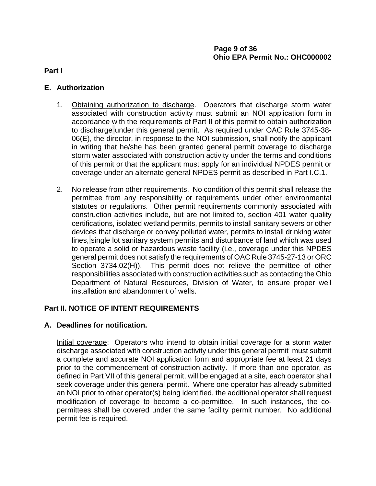**Part I**

# **E. Authorization**

- 1. Obtaining authorization to discharge. Operators that discharge storm water associated with construction activity must submit an NOI application form in accordance with the requirements of Part II of this permit to obtain authorization to discharge under this general permit. As required under OAC Rule 3745-38- 06(E), the director, in response to the NOI submission, shall notify the applicant in writing that he/she has been granted general permit coverage to discharge storm water associated with construction activity under the terms and conditions of this permit or that the applicant must apply for an individual NPDES permit or coverage under an alternate general NPDES permit as described in Part I.C.1.
- 2. No release from other requirements. No condition of this permit shall release the permittee from any responsibility or requirements under other environmental statutes or regulations. Other permit requirements commonly associated with construction activities include, but are not limited to, section 401 water quality certifications, isolated wetland permits, permits to install sanitary sewers or other devices that discharge or convey polluted water, permits to install drinking water lines, single lot sanitary system permits and disturbance of land which was used to operate a solid or hazardous waste facility (i.e., coverage under this NPDES general permit does not satisfy the requirements of OAC Rule 3745-27-13 or ORC Section 3734.02(H)). This permit does not relieve the permittee of other responsibilities associated with construction activities such as contacting the Ohio Department of Natural Resources, Division of Water, to ensure proper well installation and abandonment of wells.

# **Part II. NOTICE OF INTENT REQUIREMENTS**

# **A. Deadlines for notification.**

Initial coverage: Operators who intend to obtain initial coverage for a storm water discharge associated with construction activity under this general permit must submit a complete and accurate NOI application form and appropriate fee at least 21 days prior to the commencement of construction activity. If more than one operator, as defined in Part VII of this general permit, will be engaged at a site, each operator shall seek coverage under this general permit. Where one operator has already submitted an NOI prior to other operator(s) being identified, the additional operator shall request modification of coverage to become a co-permittee. In such instances, the copermittees shall be covered under the same facility permit number. No additional permit fee is required.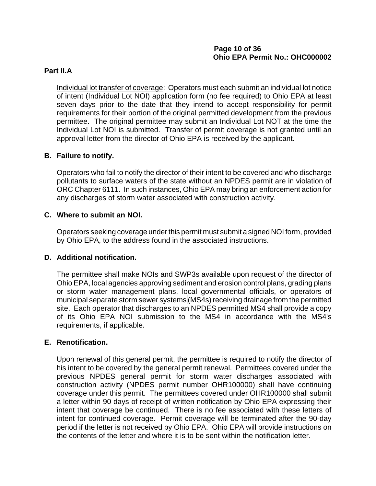# **Page 10 of 36 Ohio EPA Permit No.: OHC000002**

## **Part II.A**

Individual lot transfer of coverage: Operators must each submit an individual lot notice of intent (Individual Lot NOI) application form (no fee required) to Ohio EPA at least seven days prior to the date that they intend to accept responsibility for permit requirements for their portion of the original permitted development from the previous permittee. The original permittee may submit an Individual Lot NOT at the time the Individual Lot NOI is submitted. Transfer of permit coverage is not granted until an approval letter from the director of Ohio EPA is received by the applicant.

## **B. Failure to notify.**

Operators who fail to notify the director of their intent to be covered and who discharge pollutants to surface waters of the state without an NPDES permit are in violation of ORC Chapter 6111. In such instances, Ohio EPA may bring an enforcement action for any discharges of storm water associated with construction activity.

### **C. Where to submit an NOI.**

Operators seeking coverage under this permit must submit a signed NOI form, provided by Ohio EPA, to the address found in the associated instructions.

## **D. Additional notification.**

The permittee shall make NOIs and SWP3s available upon request of the director of Ohio EPA, local agencies approving sediment and erosion control plans, grading plans or storm water management plans, local governmental officials, or operators of municipal separate storm sewer systems (MS4s) receiving drainage from the permitted site. Each operator that discharges to an NPDES permitted MS4 shall provide a copy of its Ohio EPA NOI submission to the MS4 in accordance with the MS4's requirements, if applicable.

## **E. Renotification.**

Upon renewal of this general permit, the permittee is required to notify the director of his intent to be covered by the general permit renewal. Permittees covered under the previous NPDES general permit for storm water discharges associated with construction activity (NPDES permit number OHR100000) shall have continuing coverage under this permit. The permittees covered under OHR100000 shall submit a letter within 90 days of receipt of written notification by Ohio EPA expressing their intent that coverage be continued. There is no fee associated with these letters of intent for continued coverage. Permit coverage will be terminated after the 90-day period if the letter is not received by Ohio EPA. Ohio EPA will provide instructions on the contents of the letter and where it is to be sent within the notification letter.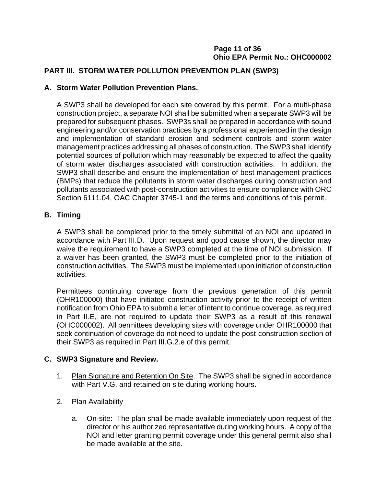# **Page 11 of 36 Ohio EPA Permit No.: OHC000002**

# **PART III. STORM WATER POLLUTION PREVENTION PLAN (SWP3)**

## **A. Storm Water Pollution Prevention Plans.**

A SWP3 shall be developed for each site covered by this permit. For a multi-phase construction project, a separate NOI shall be submitted when a separate SWP3 will be prepared for subsequent phases. SWP3s shall be prepared in accordance with sound engineering and/or conservation practices by a professional experienced in the design and implementation of standard erosion and sediment controls and storm water management practices addressing all phases of construction. The SWP3 shall identify potential sources of pollution which may reasonably be expected to affect the quality of storm water discharges associated with construction activities. In addition, the SWP3 shall describe and ensure the implementation of best management practices (BMPs) that reduce the pollutants in storm water discharges during construction and pollutants associated with post-construction activities to ensure compliance with ORC Section 6111.04, OAC Chapter 3745-1 and the terms and conditions of this permit.

## **B. Timing**

A SWP3 shall be completed prior to the timely submittal of an NOI and updated in accordance with Part III.D. Upon request and good cause shown, the director may waive the requirement to have a SWP3 completed at the time of NOI submission. If a waiver has been granted, the SWP3 must be completed prior to the initiation of construction activities. The SWP3 must be implemented upon initiation of construction activities.

Permittees continuing coverage from the previous generation of this permit (OHR100000) that have initiated construction activity prior to the receipt of written notification from Ohio EPA to submit a letter of intent to continue coverage, as required in Part II.E, are not required to update their SWP3 as a result of this renewal (OHC000002). All permittees developing sites with coverage under OHR100000 that seek continuation of coverage do not need to update the post-construction section of their SWP3 as required in Part III.G.2.e of this permit.

## **C. SWP3 Signature and Review.**

- 1. Plan Signature and Retention On Site. The SWP3 shall be signed in accordance with Part V.G. and retained on site during working hours.
- 2. Plan Availability
	- a. On-site: The plan shall be made available immediately upon request of the director or his authorized representative during working hours. A copy of the NOI and letter granting permit coverage under this general permit also shall be made available at the site.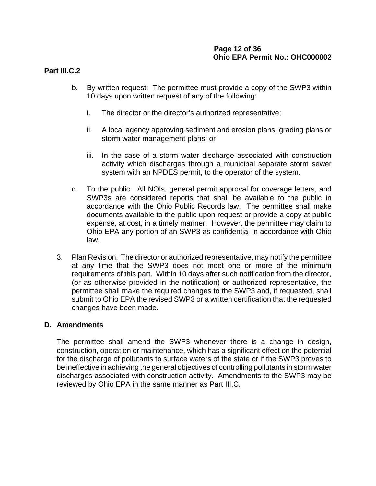# **Page 12 of 36 Ohio EPA Permit No.: OHC000002**

### **Part III.C.2**

- b. By written request: The permittee must provide a copy of the SWP3 within 10 days upon written request of any of the following:
	- i. The director or the director's authorized representative;
	- ii. A local agency approving sediment and erosion plans, grading plans or storm water management plans; or
	- iii. In the case of a storm water discharge associated with construction activity which discharges through a municipal separate storm sewer system with an NPDES permit, to the operator of the system.
- c. To the public: All NOIs, general permit approval for coverage letters, and SWP3s are considered reports that shall be available to the public in accordance with the Ohio Public Records law. The permittee shall make documents available to the public upon request or provide a copy at public expense, at cost, in a timely manner. However, the permittee may claim to Ohio EPA any portion of an SWP3 as confidential in accordance with Ohio law.
- 3. Plan Revision. The director or authorized representative, may notify the permittee at any time that the SWP3 does not meet one or more of the minimum requirements of this part. Within 10 days after such notification from the director, (or as otherwise provided in the notification) or authorized representative, the permittee shall make the required changes to the SWP3 and, if requested, shall submit to Ohio EPA the revised SWP3 or a written certification that the requested changes have been made.

## **D. Amendments**

The permittee shall amend the SWP3 whenever there is a change in design, construction, operation or maintenance, which has a significant effect on the potential for the discharge of pollutants to surface waters of the state or if the SWP3 proves to be ineffective in achieving the general objectives of controlling pollutants in storm water discharges associated with construction activity. Amendments to the SWP3 may be reviewed by Ohio EPA in the same manner as Part III.C.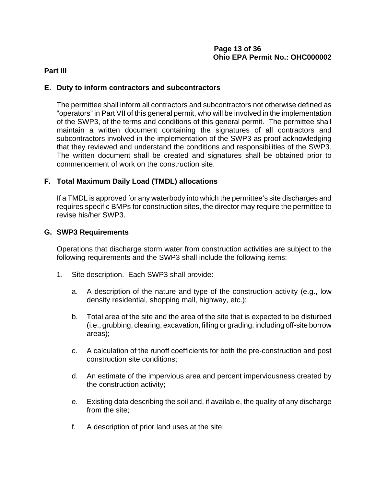### **Part III**

### **E. Duty to inform contractors and subcontractors**

The permittee shall inform all contractors and subcontractors not otherwise defined as "operators" in Part VII of this general permit, who will be involved in the implementation of the SWP3, of the terms and conditions of this general permit. The permittee shall maintain a written document containing the signatures of all contractors and subcontractors involved in the implementation of the SWP3 as proof acknowledging that they reviewed and understand the conditions and responsibilities of the SWP3. The written document shall be created and signatures shall be obtained prior to commencement of work on the construction site.

## **F. Total Maximum Daily Load (TMDL) allocations**

If a TMDL is approved for any waterbody into which the permittee's site discharges and requires specific BMPs for construction sites, the director may require the permittee to revise his/her SWP3.

### **G. SWP3 Requirements**

Operations that discharge storm water from construction activities are subject to the following requirements and the SWP3 shall include the following items:

- 1. Site description. Each SWP3 shall provide:
	- a. A description of the nature and type of the construction activity (e.g., low density residential, shopping mall, highway, etc.);
	- b. Total area of the site and the area of the site that is expected to be disturbed (i.e., grubbing, clearing, excavation, filling or grading, including off-site borrow areas);
	- c. A calculation of the runoff coefficients for both the pre-construction and post construction site conditions;
	- d. An estimate of the impervious area and percent imperviousness created by the construction activity;
	- e. Existing data describing the soil and, if available, the quality of any discharge from the site:
	- f. A description of prior land uses at the site;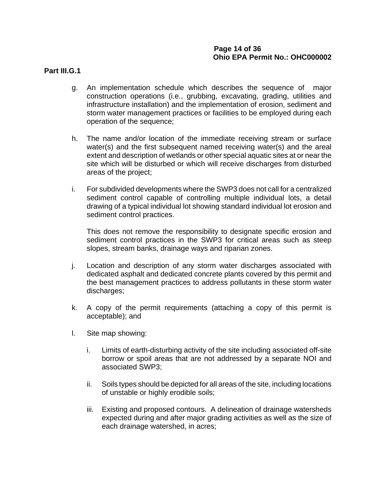## **Page 14 of 36 Ohio EPA Permit No.: OHC000002**

### **Part III.G.1**

- g. An implementation schedule which describes the sequence of major construction operations (i.e., grubbing, excavating, grading, utilities and infrastructure installation) and the implementation of erosion, sediment and storm water management practices or facilities to be employed during each operation of the sequence;
- h. The name and/or location of the immediate receiving stream or surface water(s) and the first subsequent named receiving water(s) and the areal extent and description of wetlands or other special aquatic sites at or near the site which will be disturbed or which will receive discharges from disturbed areas of the project;
- i. For subdivided developments where the SWP3 does not call for a centralized sediment control capable of controlling multiple individual lots, a detail drawing of a typical individual lot showing standard individual lot erosion and sediment control practices.

This does not remove the responsibility to designate specific erosion and sediment control practices in the SWP3 for critical areas such as steep slopes, stream banks, drainage ways and riparian zones.

- j. Location and description of any storm water discharges associated with dedicated asphalt and dedicated concrete plants covered by this permit and the best management practices to address pollutants in these storm water discharges;
- k. A copy of the permit requirements (attaching a copy of this permit is acceptable); and
- l. Site map showing:
	- i. Limits of earth-disturbing activity of the site including associated off-site borrow or spoil areas that are not addressed by a separate NOI and associated SWP3;
	- ii. Soils types should be depicted for all areas of the site, including locations of unstable or highly erodible soils;
	- iii. Existing and proposed contours. A delineation of drainage watersheds expected during and after major grading activities as well as the size of each drainage watershed, in acres;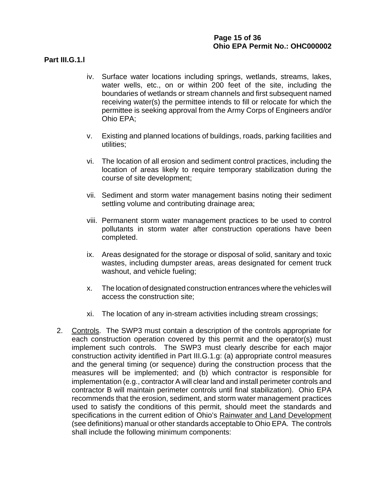## **Page 15 of 36 Ohio EPA Permit No.: OHC000002**

### **Part III.G.1.l**

- iv. Surface water locations including springs, wetlands, streams, lakes, water wells, etc., on or within 200 feet of the site, including the boundaries of wetlands or stream channels and first subsequent named receiving water(s) the permittee intends to fill or relocate for which the permittee is seeking approval from the Army Corps of Engineers and/or Ohio EPA;
- v. Existing and planned locations of buildings, roads, parking facilities and utilities;
- vi. The location of all erosion and sediment control practices, including the location of areas likely to require temporary stabilization during the course of site development;
- vii. Sediment and storm water management basins noting their sediment settling volume and contributing drainage area;
- viii. Permanent storm water management practices to be used to control pollutants in storm water after construction operations have been completed.
- ix. Areas designated for the storage or disposal of solid, sanitary and toxic wastes, including dumpster areas, areas designated for cement truck washout, and vehicle fueling;
- x. The location of designated construction entrances where the vehicles will access the construction site;
- xi. The location of any in-stream activities including stream crossings;
- 2. Controls. The SWP3 must contain a description of the controls appropriate for each construction operation covered by this permit and the operator(s) must implement such controls. The SWP3 must clearly describe for each major construction activity identified in Part III.G.1.g: (a) appropriate control measures and the general timing (or sequence) during the construction process that the measures will be implemented; and (b) which contractor is responsible for implementation (e.g., contractor A will clear land and install perimeter controls and contractor B will maintain perimeter controls until final stabilization). Ohio EPA recommends that the erosion, sediment, and storm water management practices used to satisfy the conditions of this permit, should meet the standards and specifications in the current edition of Ohio's Rainwater and Land Development (see definitions) manual or other standards acceptable to Ohio EPA. The controls shall include the following minimum components: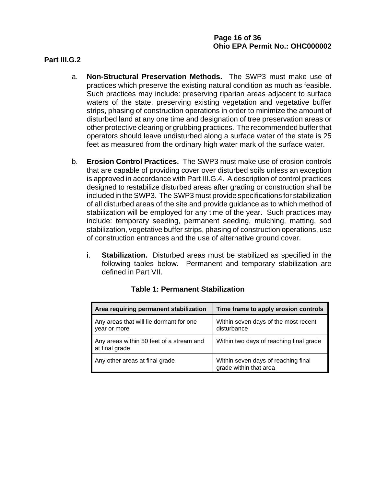#### **Part III.G.2**

- a. **Non-Structural Preservation Methods.** The SWP3 must make use of practices which preserve the existing natural condition as much as feasible. Such practices may include: preserving riparian areas adjacent to surface waters of the state, preserving existing vegetation and vegetative buffer strips, phasing of construction operations in order to minimize the amount of disturbed land at any one time and designation of tree preservation areas or other protective clearing or grubbing practices. The recommended buffer that operators should leave undisturbed along a surface water of the state is 25 feet as measured from the ordinary high water mark of the surface water.
- b. **Erosion Control Practices.** The SWP3 must make use of erosion controls that are capable of providing cover over disturbed soils unless an exception is approved in accordance with Part III.G.4. A description of control practices designed to restabilize disturbed areas after grading or construction shall be included in the SWP3. The SWP3 must provide specifications for stabilization of all disturbed areas of the site and provide guidance as to which method of stabilization will be employed for any time of the year. Such practices may include: temporary seeding, permanent seeding, mulching, matting, sod stabilization, vegetative buffer strips, phasing of construction operations, use of construction entrances and the use of alternative ground cover.
	- i. **Stabilization.** Disturbed areas must be stabilized as specified in the following tables below. Permanent and temporary stabilization are defined in Part VII.

| Area requiring permanent stabilization                     | Time frame to apply erosion controls                          |
|------------------------------------------------------------|---------------------------------------------------------------|
| Any areas that will lie dormant for one<br>year or more    | Within seven days of the most recent<br>disturbance           |
| Any areas within 50 feet of a stream and<br>at final grade | Within two days of reaching final grade                       |
| Any other areas at final grade                             | Within seven days of reaching final<br>grade within that area |

## **Table 1: Permanent Stabilization**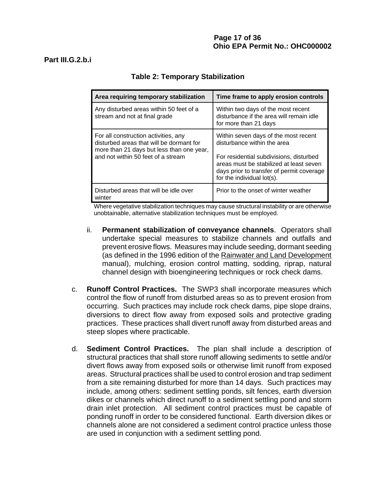| Area requiring temporary stabilization                                                                                                                              | Time frame to apply erosion controls                                                                                                                                                                                                 |
|---------------------------------------------------------------------------------------------------------------------------------------------------------------------|--------------------------------------------------------------------------------------------------------------------------------------------------------------------------------------------------------------------------------------|
| Any disturbed areas within 50 feet of a<br>stream and not at final grade                                                                                            | Within two days of the most recent<br>disturbance if the area will remain idle<br>for more than 21 days                                                                                                                              |
| For all construction activities, any<br>disturbed areas that will be dormant for<br>more than 21 days but less than one year,<br>and not within 50 feet of a stream | Within seven days of the most recent<br>disturbance within the area<br>For residential subdivisions, disturbed<br>areas must be stabilized at least seven<br>days prior to transfer of permit coverage<br>for the individual lot(s). |
| Disturbed areas that will be idle over<br>winter                                                                                                                    | Prior to the onset of winter weather                                                                                                                                                                                                 |

# **Table 2: Temporary Stabilization**

Where vegetative stabilization techniques may cause structural instability or are otherwise unobtainable, alternative stabilization techniques must be employed.

- ii. **Permanent stabilization of conveyance channels**. Operators shall undertake special measures to stabilize channels and outfalls and prevent erosive flows. Measures may include seeding, dormant seeding (as defined in the 1996 edition of the Rainwater and Land Development manual), mulching, erosion control matting, sodding, riprap, natural channel design with bioengineering techniques or rock check dams.
- c. **Runoff Control Practices.** The SWP3 shall incorporate measures which control the flow of runoff from disturbed areas so as to prevent erosion from occurring. Such practices may include rock check dams, pipe slope drains, diversions to direct flow away from exposed soils and protective grading practices. These practices shall divert runoff away from disturbed areas and steep slopes where practicable.
- d. **Sediment Control Practices.** The plan shall include a description of structural practices that shall store runoff allowing sediments to settle and/or divert flows away from exposed soils or otherwise limit runoff from exposed areas. Structural practices shall be used to control erosion and trap sediment from a site remaining disturbed for more than 14 days. Such practices may include, among others: sediment settling ponds, silt fences, earth diversion dikes or channels which direct runoff to a sediment settling pond and storm drain inlet protection. All sediment control practices must be capable of ponding runoff in order to be considered functional. Earth diversion dikes or channels alone are not considered a sediment control practice unless those are used in conjunction with a sediment settling pond.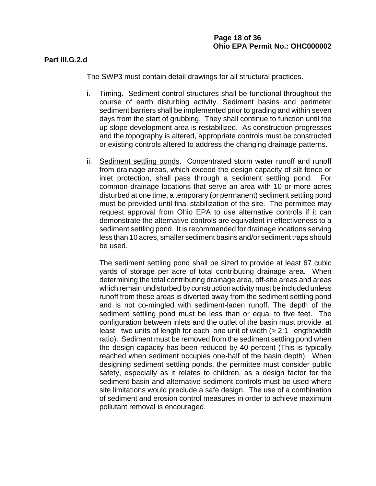#### **Part III.G.2.d**

The SWP3 must contain detail drawings for all structural practices.

- i. Timing. Sediment control structures shall be functional throughout the course of earth disturbing activity. Sediment basins and perimeter sediment barriers shall be implemented prior to grading and within seven days from the start of grubbing. They shall continue to function until the up slope development area is restabilized. As construction progresses and the topography is altered, appropriate controls must be constructed or existing controls altered to address the changing drainage patterns.
- ii. Sediment settling ponds. Concentrated storm water runoff and runoff from drainage areas, which exceed the design capacity of silt fence or inlet protection, shall pass through a sediment settling pond. For common drainage locations that serve an area with 10 or more acres disturbed at one time, a temporary (or permanent) sediment settling pond must be provided until final stabilization of the site. The permittee may request approval from Ohio EPA to use alternative controls if it can demonstrate the alternative controls are equivalent in effectiveness to a sediment settling pond. It is recommended for drainage locations serving less than 10 acres, smaller sediment basins and/or sediment traps should be used.

The sediment settling pond shall be sized to provide at least 67 cubic yards of storage per acre of total contributing drainage area. When determining the total contributing drainage area, off-site areas and areas which remain undisturbed by construction activity must be included unless runoff from these areas is diverted away from the sediment settling pond and is not co-mingled with sediment-laden runoff. The depth of the sediment settling pond must be less than or equal to five feet. The configuration between inlets and the outlet of the basin must provide at least two units of length for each one unit of width (> 2:1 length:width ratio). Sediment must be removed from the sediment settling pond when the design capacity has been reduced by 40 percent (This is typically reached when sediment occupies one-half of the basin depth). When designing sediment settling ponds, the permittee must consider public safety, especially as it relates to children, as a design factor for the sediment basin and alternative sediment controls must be used where site limitations would preclude a safe design. The use of a combination of sediment and erosion control measures in order to achieve maximum pollutant removal is encouraged.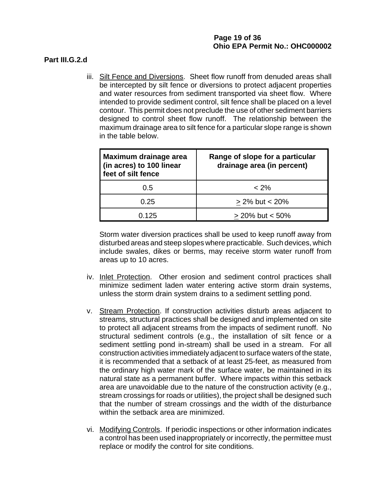### **Part III.G.2.d**

iii. Silt Fence and Diversions. Sheet flow runoff from denuded areas shall be intercepted by silt fence or diversions to protect adjacent properties and water resources from sediment transported via sheet flow. Where intended to provide sediment control, silt fence shall be placed on a level contour. This permit does not preclude the use of other sediment barriers designed to control sheet flow runoff. The relationship between the maximum drainage area to silt fence for a particular slope range is shown in the table below.

| Maximum drainage area<br>(in acres) to 100 linear<br>feet of silt fence | Range of slope for a particular<br>drainage area (in percent) |
|-------------------------------------------------------------------------|---------------------------------------------------------------|
| $0.5^{\circ}$                                                           | $< 2\%$                                                       |
| 0.25                                                                    | $\geq$ 2% but < 20%                                           |
| 0.125                                                                   | $> 20\%$ but $< 50\%$                                         |

Storm water diversion practices shall be used to keep runoff away from disturbed areas and steep slopes where practicable. Such devices, which include swales, dikes or berms, may receive storm water runoff from areas up to 10 acres.

- iv. Inlet Protection. Other erosion and sediment control practices shall minimize sediment laden water entering active storm drain systems, unless the storm drain system drains to a sediment settling pond.
- v. Stream Protection. If construction activities disturb areas adjacent to streams, structural practices shall be designed and implemented on site to protect all adjacent streams from the impacts of sediment runoff. No structural sediment controls (e.g., the installation of silt fence or a sediment settling pond in-stream) shall be used in a stream. For all construction activities immediately adjacent to surface waters of the state, it is recommended that a setback of at least 25-feet, as measured from the ordinary high water mark of the surface water, be maintained in its natural state as a permanent buffer. Where impacts within this setback area are unavoidable due to the nature of the construction activity (e.g., stream crossings for roads or utilities), the project shall be designed such that the number of stream crossings and the width of the disturbance within the setback area are minimized.
- vi. Modifying Controls. If periodic inspections or other information indicates a control has been used inappropriately or incorrectly, the permittee must replace or modify the control for site conditions.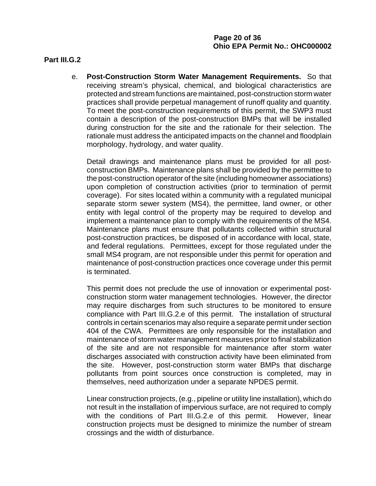#### **Part III.G.2**

e. **Post-Construction Storm Water Management Requirements.** So that receiving stream's physical, chemical, and biological characteristics are protected and stream functions are maintained, post-construction storm water practices shall provide perpetual management of runoff quality and quantity. To meet the post-construction requirements of this permit, the SWP3 must contain a description of the post-construction BMPs that will be installed during construction for the site and the rationale for their selection. The rationale must address the anticipated impacts on the channel and floodplain morphology, hydrology, and water quality.

Detail drawings and maintenance plans must be provided for all postconstruction BMPs. Maintenance plans shall be provided by the permittee to the post-construction operator of the site (including homeowner associations) upon completion of construction activities (prior to termination of permit coverage). For sites located within a community with a regulated municipal separate storm sewer system (MS4), the permittee, land owner, or other entity with legal control of the property may be required to develop and implement a maintenance plan to comply with the requirements of the MS4. Maintenance plans must ensure that pollutants collected within structural post-construction practices, be disposed of in accordance with local, state, and federal regulations. Permittees, except for those regulated under the small MS4 program, are not responsible under this permit for operation and maintenance of post-construction practices once coverage under this permit is terminated.

This permit does not preclude the use of innovation or experimental postconstruction storm water management technologies. However, the director may require discharges from such structures to be monitored to ensure compliance with Part III.G.2.e of this permit. The installation of structural controls in certain scenarios may also require a separate permit under section 404 of the CWA. Permittees are only responsible for the installation and maintenance of storm water management measures prior to final stabilization of the site and are not responsible for maintenance after storm water discharges associated with construction activity have been eliminated from the site. However, post-construction storm water BMPs that discharge pollutants from point sources once construction is completed, may in themselves, need authorization under a separate NPDES permit.

Linear construction projects, (e.g., pipeline or utility line installation), which do not result in the installation of impervious surface, are not required to comply with the conditions of Part III.G.2.e of this permit. However, linear construction projects must be designed to minimize the number of stream crossings and the width of disturbance.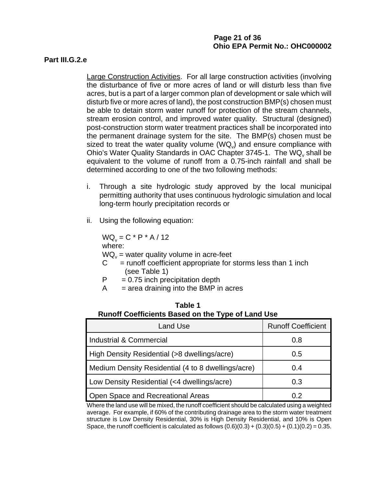## **Page 21 of 36 Ohio EPA Permit No.: OHC000002**

#### **Part III.G.2.e**

Large Construction Activities. For all large construction activities (involving the disturbance of five or more acres of land or will disturb less than five acres, but is a part of a larger common plan of development or sale which will disturb five or more acres of land), the post construction BMP(s) chosen must be able to detain storm water runoff for protection of the stream channels, stream erosion control, and improved water quality. Structural (designed) post-construction storm water treatment practices shall be incorporated into the permanent drainage system for the site. The BMP(s) chosen must be sized to treat the water quality volume  $(WQ_y)$  and ensure compliance with Ohio's Water Quality Standards in OAC Chapter 3745-1. The WQ<sub>v</sub> shall be equivalent to the volume of runoff from a 0.75-inch rainfall and shall be determined according to one of the two following methods:

- i. Through a site hydrologic study approved by the local municipal permitting authority that uses continuous hydrologic simulation and local long-term hourly precipitation records or
- ii. Using the following equation:

 $WQ_v = C * P * A / 12$ where:  $WQ_{v}$  = water quality volume in acre-feet

- $C =$  runoff coefficient appropriate for storms less than 1 inch (see Table 1)
- $P = 0.75$  inch precipitation depth
- $A = area$  draining into the BMP in acres

| Kullull Coellicients Dased On the Type of Early Ose |                           |  |
|-----------------------------------------------------|---------------------------|--|
| <b>Land Use</b>                                     | <b>Runoff Coefficient</b> |  |
| <b>Industrial &amp; Commercial</b>                  | 0.8                       |  |
| High Density Residential (>8 dwellings/acre)        | 0.5                       |  |
| Medium Density Residential (4 to 8 dwellings/acre)  | 0.4                       |  |
| Low Density Residential (<4 dwellings/acre)         | 0.3                       |  |
| Open Space and Recreational Areas                   | 0.2                       |  |

#### **Table 1 Runoff Coefficients Based on the Type of Land Use**

Where the land use will be mixed, the runoff coefficient should be calculated using a weighted average. For example, if 60% of the contributing drainage area to the storm water treatment structure is Low Density Residential, 30% is High Density Residential, and 10% is Open Space, the runoff coefficient is calculated as follows  $(0.6)(0.3) + (0.3)(0.5) + (0.1)(0.2) = 0.35$ .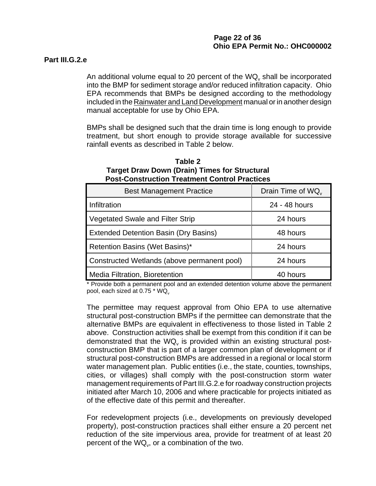### **Part III.G.2.e**

An additional volume equal to 20 percent of the  $WQ<sub>v</sub>$  shall be incorporated into the BMP for sediment storage and/or reduced infiltration capacity. Ohio EPA recommends that BMPs be designed according to the methodology included in the Rainwater and Land Development manual or in another design manual acceptable for use by Ohio EPA.

BMPs shall be designed such that the drain time is long enough to provide treatment, but short enough to provide storage available for successive rainfall events as described in Table 2 below.

| Table 2                                              |  |  |
|------------------------------------------------------|--|--|
| <b>Target Draw Down (Drain) Times for Structural</b> |  |  |
| <b>Post-Construction Treatment Control Practices</b> |  |  |

| <b>Best Management Practice</b>              | Drain Time of WQ |
|----------------------------------------------|------------------|
| Infiltration                                 | 24 - 48 hours    |
| <b>Vegetated Swale and Filter Strip</b>      | 24 hours         |
| <b>Extended Detention Basin (Dry Basins)</b> | 48 hours         |
| Retention Basins (Wet Basins)*               | 24 hours         |
| Constructed Wetlands (above permanent pool)  | 24 hours         |
| Media Filtration, Bioretention               | 40 hours         |

\* Provide both a permanent pool and an extended detention volume above the permanent pool, each sized at 0.75  $*$  WQ

The permittee may request approval from Ohio EPA to use alternative structural post-construction BMPs if the permittee can demonstrate that the alternative BMPs are equivalent in effectiveness to those listed in Table 2 above. Construction activities shall be exempt from this condition if it can be demonstrated that the  $WQ<sub>v</sub>$  is provided within an existing structural postconstruction BMP that is part of a larger common plan of development or if structural post-construction BMPs are addressed in a regional or local storm water management plan. Public entities (i.e., the state, counties, townships, cities, or villages) shall comply with the post-construction storm water management requirements of Part III.G.2.e for roadway construction projects initiated after March 10, 2006 and where practicable for projects initiated as of the effective date of this permit and thereafter.

For redevelopment projects (i.e., developments on previously developed property), post-construction practices shall either ensure a 20 percent net reduction of the site impervious area, provide for treatment of at least 20 percent of the  $WQ_{v}$ , or a combination of the two.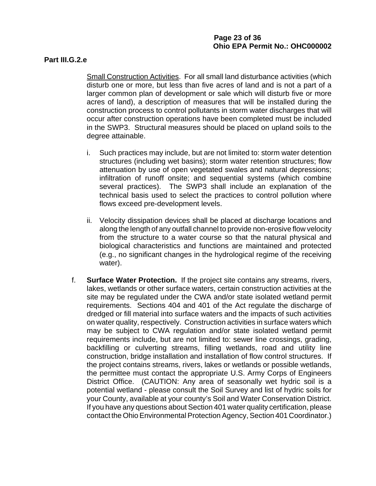#### **Part III.G.2.e**

Small Construction Activities. For all small land disturbance activities (which disturb one or more, but less than five acres of land and is not a part of a larger common plan of development or sale which will disturb five or more acres of land), a description of measures that will be installed during the construction process to control pollutants in storm water discharges that will occur after construction operations have been completed must be included in the SWP3. Structural measures should be placed on upland soils to the degree attainable.

- i. Such practices may include, but are not limited to: storm water detention structures (including wet basins); storm water retention structures; flow attenuation by use of open vegetated swales and natural depressions; infiltration of runoff onsite; and sequential systems (which combine several practices). The SWP3 shall include an explanation of the technical basis used to select the practices to control pollution where flows exceed pre-development levels.
- ii. Velocity dissipation devices shall be placed at discharge locations and along the length of any outfall channel to provide non-erosive flow velocity from the structure to a water course so that the natural physical and biological characteristics and functions are maintained and protected (e.g., no significant changes in the hydrological regime of the receiving water).
- f. **Surface Water Protection.** If the project site contains any streams, rivers, lakes, wetlands or other surface waters, certain construction activities at the site may be regulated under the CWA and/or state isolated wetland permit requirements. Sections 404 and 401 of the Act regulate the discharge of dredged or fill material into surface waters and the impacts of such activities on water quality, respectively. Construction activities in surface waters which may be subject to CWA regulation and/or state isolated wetland permit requirements include, but are not limited to: sewer line crossings, grading, backfilling or culverting streams, filling wetlands, road and utility line construction, bridge installation and installation of flow control structures. If the project contains streams, rivers, lakes or wetlands or possible wetlands, the permittee must contact the appropriate U.S. Army Corps of Engineers District Office. (CAUTION: Any area of seasonally wet hydric soil is a potential wetland - please consult the Soil Survey and list of hydric soils for your County, available at your county's Soil and Water Conservation District. If you have any questions about Section 401 water quality certification, please contact the Ohio Environmental Protection Agency, Section 401 Coordinator.)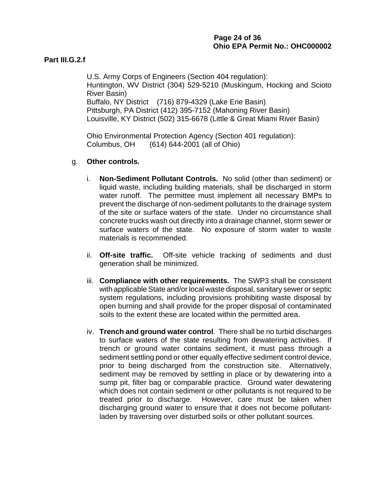### **Part III.G.2.f**

U.S. Army Corps of Engineers (Section 404 regulation): Huntington, WV District (304) 529-5210 (Muskingum, Hocking and Scioto River Basin) Buffalo, NY District (716) 879-4329 (Lake Erie Basin) Pittsburgh, PA District (412) 395-7152 (Mahoning River Basin) Louisville, KY District (502) 315-6678 (Little & Great Miami River Basin)

Ohio Environmental Protection Agency (Section 401 regulation): Columbus, OH (614) 644-2001 (all of Ohio)

### g. **Other controls.**

- i. **Non-Sediment Pollutant Controls.** No solid (other than sediment) or liquid waste, including building materials, shall be discharged in storm water runoff. The permittee must implement all necessary BMPs to prevent the discharge of non-sediment pollutants to the drainage system of the site or surface waters of the state. Under no circumstance shall concrete trucks wash out directly into a drainage channel, storm sewer or surface waters of the state. No exposure of storm water to waste materials is recommended.
- ii. **Off-site traffic.** Off-site vehicle tracking of sediments and dust generation shall be minimized.
- iii. **Compliance with other requirements.** The SWP3 shall be consistent with applicable State and/or local waste disposal, sanitary sewer or septic system regulations, including provisions prohibiting waste disposal by open burning and shall provide for the proper disposal of contaminated soils to the extent these are located within the permitted area.
- iv. **Trench and ground water control**. There shall be no turbid discharges to surface waters of the state resulting from dewatering activities. If trench or ground water contains sediment, it must pass through a sediment settling pond or other equally effective sediment control device, prior to being discharged from the construction site. Alternatively, sediment may be removed by settling in place or by dewatering into a sump pit, filter bag or comparable practice. Ground water dewatering which does not contain sediment or other pollutants is not required to be treated prior to discharge. However, care must be taken when discharging ground water to ensure that it does not become pollutantladen by traversing over disturbed soils or other pollutant sources.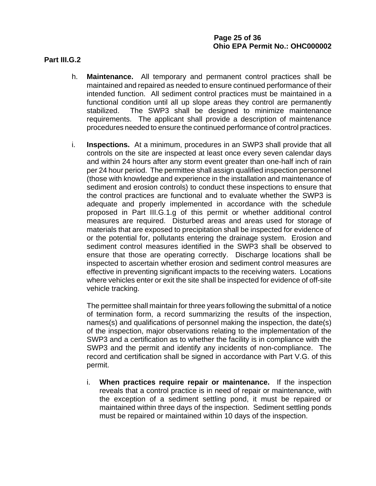## **Page 25 of 36 Ohio EPA Permit No.: OHC000002**

#### **Part III.G.2**

- h. **Maintenance.** All temporary and permanent control practices shall be maintained and repaired as needed to ensure continued performance of their intended function. All sediment control practices must be maintained in a functional condition until all up slope areas they control are permanently stabilized. The SWP3 shall be designed to minimize maintenance requirements. The applicant shall provide a description of maintenance procedures needed to ensure the continued performance of control practices.
- i. **Inspections.** At a minimum, procedures in an SWP3 shall provide that all controls on the site are inspected at least once every seven calendar days and within 24 hours after any storm event greater than one-half inch of rain per 24 hour period. The permittee shall assign qualified inspection personnel (those with knowledge and experience in the installation and maintenance of sediment and erosion controls) to conduct these inspections to ensure that the control practices are functional and to evaluate whether the SWP3 is adequate and properly implemented in accordance with the schedule proposed in Part III.G.1.g of this permit or whether additional control measures are required. Disturbed areas and areas used for storage of materials that are exposed to precipitation shall be inspected for evidence of or the potential for, pollutants entering the drainage system. Erosion and sediment control measures identified in the SWP3 shall be observed to ensure that those are operating correctly. Discharge locations shall be inspected to ascertain whether erosion and sediment control measures are effective in preventing significant impacts to the receiving waters. Locations where vehicles enter or exit the site shall be inspected for evidence of off-site vehicle tracking.

The permittee shall maintain for three years following the submittal of a notice of termination form, a record summarizing the results of the inspection, names(s) and qualifications of personnel making the inspection, the date(s) of the inspection, major observations relating to the implementation of the SWP3 and a certification as to whether the facility is in compliance with the SWP3 and the permit and identify any incidents of non-compliance. The record and certification shall be signed in accordance with Part V.G. of this permit.

i. **When practices require repair or maintenance.** If the inspection reveals that a control practice is in need of repair or maintenance, with the exception of a sediment settling pond, it must be repaired or maintained within three days of the inspection. Sediment settling ponds must be repaired or maintained within 10 days of the inspection.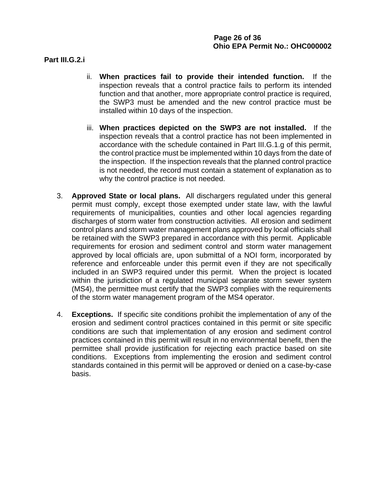### **Part III.G.2.i**

- ii. **When practices fail to provide their intended function.** If the inspection reveals that a control practice fails to perform its intended function and that another, more appropriate control practice is required, the SWP3 must be amended and the new control practice must be installed within 10 days of the inspection.
- iii. **When practices depicted on the SWP3 are not installed.** If the inspection reveals that a control practice has not been implemented in accordance with the schedule contained in Part III.G.1.g of this permit, the control practice must be implemented within 10 days from the date of the inspection. If the inspection reveals that the planned control practice is not needed, the record must contain a statement of explanation as to why the control practice is not needed.
- 3. **Approved State or local plans.** All dischargers regulated under this general permit must comply, except those exempted under state law, with the lawful requirements of municipalities, counties and other local agencies regarding discharges of storm water from construction activities. All erosion and sediment control plans and storm water management plans approved by local officials shall be retained with the SWP3 prepared in accordance with this permit. Applicable requirements for erosion and sediment control and storm water management approved by local officials are, upon submittal of a NOI form, incorporated by reference and enforceable under this permit even if they are not specifically included in an SWP3 required under this permit. When the project is located within the jurisdiction of a regulated municipal separate storm sewer system (MS4), the permittee must certify that the SWP3 complies with the requirements of the storm water management program of the MS4 operator.
- 4. **Exceptions.** If specific site conditions prohibit the implementation of any of the erosion and sediment control practices contained in this permit or site specific conditions are such that implementation of any erosion and sediment control practices contained in this permit will result in no environmental benefit, then the permittee shall provide justification for rejecting each practice based on site conditions. Exceptions from implementing the erosion and sediment control standards contained in this permit will be approved or denied on a case-by-case basis.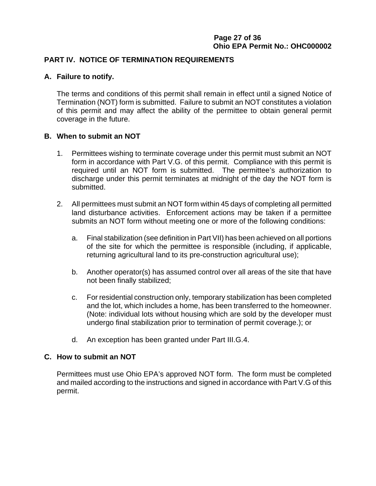## **Page 27 of 36 Ohio EPA Permit No.: OHC000002**

### **PART IV. NOTICE OF TERMINATION REQUIREMENTS**

### **A. Failure to notify.**

The terms and conditions of this permit shall remain in effect until a signed Notice of Termination (NOT) form is submitted. Failure to submit an NOT constitutes a violation of this permit and may affect the ability of the permittee to obtain general permit coverage in the future.

### **B. When to submit an NOT**

- 1. Permittees wishing to terminate coverage under this permit must submit an NOT form in accordance with Part V.G. of this permit. Compliance with this permit is required until an NOT form is submitted. The permittee's authorization to discharge under this permit terminates at midnight of the day the NOT form is submitted.
- 2. All permittees must submit an NOT form within 45 days of completing all permitted land disturbance activities. Enforcement actions may be taken if a permittee submits an NOT form without meeting one or more of the following conditions:
	- a. Final stabilization (see definition in Part VII) has been achieved on all portions of the site for which the permittee is responsible (including, if applicable, returning agricultural land to its pre-construction agricultural use);
	- b. Another operator(s) has assumed control over all areas of the site that have not been finally stabilized;
	- c. For residential construction only, temporary stabilization has been completed and the lot, which includes a home, has been transferred to the homeowner. (Note: individual lots without housing which are sold by the developer must undergo final stabilization prior to termination of permit coverage.); or
	- d. An exception has been granted under Part III.G.4.

#### **C. How to submit an NOT**

Permittees must use Ohio EPA's approved NOT form. The form must be completed and mailed according to the instructions and signed in accordance with Part V.G of this permit.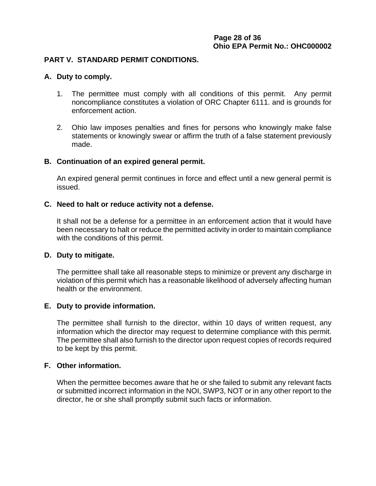### **PART V. STANDARD PERMIT CONDITIONS.**

#### **A. Duty to comply.**

- 1. The permittee must comply with all conditions of this permit. Any permit noncompliance constitutes a violation of ORC Chapter 6111. and is grounds for enforcement action.
- 2. Ohio law imposes penalties and fines for persons who knowingly make false statements or knowingly swear or affirm the truth of a false statement previously made.

#### **B. Continuation of an expired general permit.**

An expired general permit continues in force and effect until a new general permit is issued.

#### **C. Need to halt or reduce activity not a defense.**

It shall not be a defense for a permittee in an enforcement action that it would have been necessary to halt or reduce the permitted activity in order to maintain compliance with the conditions of this permit.

#### **D. Duty to mitigate.**

The permittee shall take all reasonable steps to minimize or prevent any discharge in violation of this permit which has a reasonable likelihood of adversely affecting human health or the environment.

#### **E. Duty to provide information.**

The permittee shall furnish to the director, within 10 days of written request, any information which the director may request to determine compliance with this permit. The permittee shall also furnish to the director upon request copies of records required to be kept by this permit.

### **F. Other information.**

When the permittee becomes aware that he or she failed to submit any relevant facts or submitted incorrect information in the NOI, SWP3, NOT or in any other report to the director, he or she shall promptly submit such facts or information.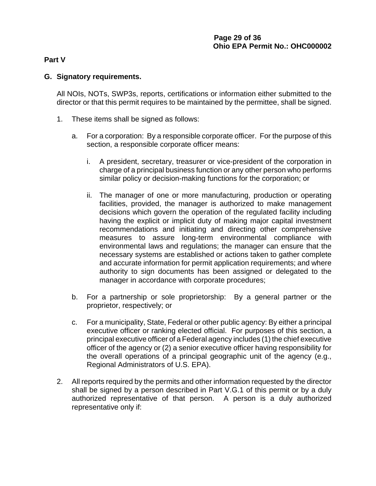### **Part V**

## **G. Signatory requirements.**

All NOIs, NOTs, SWP3s, reports, certifications or information either submitted to the director or that this permit requires to be maintained by the permittee, shall be signed.

- 1. These items shall be signed as follows:
	- a. For a corporation: By a responsible corporate officer. For the purpose of this section, a responsible corporate officer means:
		- i. A president, secretary, treasurer or vice-president of the corporation in charge of a principal business function or any other person who performs similar policy or decision-making functions for the corporation; or
		- ii. The manager of one or more manufacturing, production or operating facilities, provided, the manager is authorized to make management decisions which govern the operation of the regulated facility including having the explicit or implicit duty of making major capital investment recommendations and initiating and directing other comprehensive measures to assure long-term environmental compliance with environmental laws and regulations; the manager can ensure that the necessary systems are established or actions taken to gather complete and accurate information for permit application requirements; and where authority to sign documents has been assigned or delegated to the manager in accordance with corporate procedures;
	- b. For a partnership or sole proprietorship: By a general partner or the proprietor, respectively; or
	- c. For a municipality, State, Federal or other public agency: By either a principal executive officer or ranking elected official. For purposes of this section, a principal executive officer of a Federal agency includes (1) the chief executive officer of the agency or (2) a senior executive officer having responsibility for the overall operations of a principal geographic unit of the agency (e.g., Regional Administrators of U.S. EPA).
- 2. All reports required by the permits and other information requested by the director shall be signed by a person described in Part V.G.1 of this permit or by a duly authorized representative of that person. A person is a duly authorized representative only if: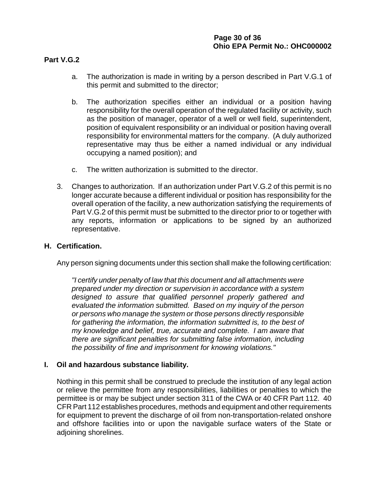### **Part V.G.2**

- a. The authorization is made in writing by a person described in Part V.G.1 of this permit and submitted to the director;
- b. The authorization specifies either an individual or a position having responsibility for the overall operation of the regulated facility or activity, such as the position of manager, operator of a well or well field, superintendent, position of equivalent responsibility or an individual or position having overall responsibility for environmental matters for the company. (A duly authorized representative may thus be either a named individual or any individual occupying a named position); and
- c. The written authorization is submitted to the director.
- 3. Changes to authorization. If an authorization under Part V.G.2 of this permit is no longer accurate because a different individual or position has responsibility for the overall operation of the facility, a new authorization satisfying the requirements of Part V.G.2 of this permit must be submitted to the director prior to or together with any reports, information or applications to be signed by an authorized representative.

#### **H. Certification.**

Any person signing documents under this section shall make the following certification:

*"I certify under penalty of law that this document and all attachments were prepared under my direction or supervision in accordance with a system designed to assure that qualified personnel properly gathered and evaluated the information submitted. Based on my inquiry of the person or persons who manage the system or those persons directly responsible for gathering the information, the information submitted is, to the best of my knowledge and belief, true, accurate and complete. I am aware that there are significant penalties for submitting false information, including the possibility of fine and imprisonment for knowing violations."*

#### **I. Oil and hazardous substance liability.**

Nothing in this permit shall be construed to preclude the institution of any legal action or relieve the permittee from any responsibilities, liabilities or penalties to which the permittee is or may be subject under section 311 of the CWA or 40 CFR Part 112. 40 CFR Part 112 establishes procedures, methods and equipment and other requirements for equipment to prevent the discharge of oil from non-transportation-related onshore and offshore facilities into or upon the navigable surface waters of the State or adjoining shorelines.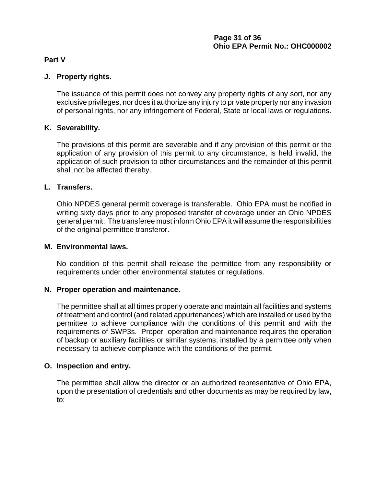### **Part V**

### **J. Property rights.**

The issuance of this permit does not convey any property rights of any sort, nor any exclusive privileges, nor does it authorize any injury to private property nor any invasion of personal rights, nor any infringement of Federal, State or local laws or regulations.

### **K. Severability.**

The provisions of this permit are severable and if any provision of this permit or the application of any provision of this permit to any circumstance, is held invalid, the application of such provision to other circumstances and the remainder of this permit shall not be affected thereby.

### **L. Transfers.**

Ohio NPDES general permit coverage is transferable. Ohio EPA must be notified in writing sixty days prior to any proposed transfer of coverage under an Ohio NPDES general permit. The transferee must inform Ohio EPA it will assume the responsibilities of the original permittee transferor.

#### **M. Environmental laws.**

No condition of this permit shall release the permittee from any responsibility or requirements under other environmental statutes or regulations.

#### **N. Proper operation and maintenance.**

The permittee shall at all times properly operate and maintain all facilities and systems of treatment and control (and related appurtenances) which are installed or used by the permittee to achieve compliance with the conditions of this permit and with the requirements of SWP3s. Proper operation and maintenance requires the operation of backup or auxiliary facilities or similar systems, installed by a permittee only when necessary to achieve compliance with the conditions of the permit.

#### **O. Inspection and entry.**

The permittee shall allow the director or an authorized representative of Ohio EPA, upon the presentation of credentials and other documents as may be required by law, to: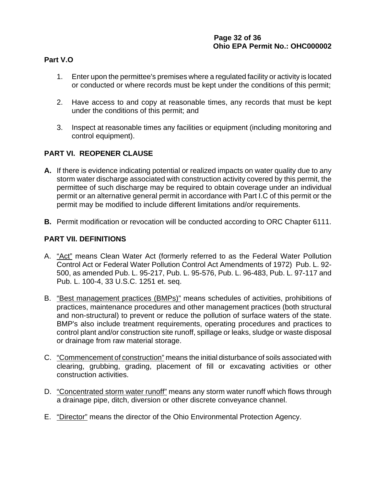## **Part V.O**

- 1. Enter upon the permittee's premises where a regulated facility or activity is located or conducted or where records must be kept under the conditions of this permit;
- 2. Have access to and copy at reasonable times, any records that must be kept under the conditions of this permit; and
- 3. Inspect at reasonable times any facilities or equipment (including monitoring and control equipment).

# **PART VI. REOPENER CLAUSE**

- **A.** If there is evidence indicating potential or realized impacts on water quality due to any storm water discharge associated with construction activity covered by this permit, the permittee of such discharge may be required to obtain coverage under an individual permit or an alternative general permit in accordance with Part I.C of this permit or the permit may be modified to include different limitations and/or requirements.
- **B.** Permit modification or revocation will be conducted according to ORC Chapter 6111.

# **PART VII. DEFINITIONS**

- A. "Act" means Clean Water Act (formerly referred to as the Federal Water Pollution Control Act or Federal Water Pollution Control Act Amendments of 1972) Pub. L. 92- 500, as amended Pub. L. 95-217, Pub. L. 95-576, Pub. L. 96-483, Pub. L. 97-117 and Pub. L. 100-4, 33 U.S.C. 1251 et. seq.
- B. "Best management practices (BMPs)" means schedules of activities, prohibitions of practices, maintenance procedures and other management practices (both structural and non-structural) to prevent or reduce the pollution of surface waters of the state. BMP's also include treatment requirements, operating procedures and practices to control plant and/or construction site runoff, spillage or leaks, sludge or waste disposal or drainage from raw material storage.
- C. "Commencement of construction" means the initial disturbance of soils associated with clearing, grubbing, grading, placement of fill or excavating activities or other construction activities.
- D. "Concentrated storm water runoff" means any storm water runoff which flows through a drainage pipe, ditch, diversion or other discrete conveyance channel.
- E. "Director" means the director of the Ohio Environmental Protection Agency.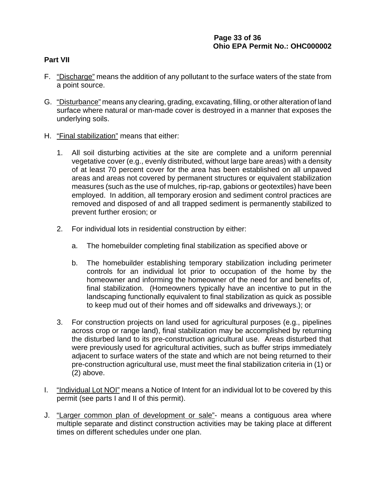### **Part VII**

- F. "Discharge" means the addition of any pollutant to the surface waters of the state from a point source.
- G. "Disturbance" means any clearing, grading, excavating, filling, or other alteration of land surface where natural or man-made cover is destroyed in a manner that exposes the underlying soils.
- H. "Final stabilization" means that either:
	- 1. All soil disturbing activities at the site are complete and a uniform perennial vegetative cover (e.g., evenly distributed, without large bare areas) with a density of at least 70 percent cover for the area has been established on all unpaved areas and areas not covered by permanent structures or equivalent stabilization measures (such as the use of mulches, rip-rap, gabions or geotextiles) have been employed. In addition, all temporary erosion and sediment control practices are removed and disposed of and all trapped sediment is permanently stabilized to prevent further erosion; or
	- 2. For individual lots in residential construction by either:
		- a. The homebuilder completing final stabilization as specified above or
		- b. The homebuilder establishing temporary stabilization including perimeter controls for an individual lot prior to occupation of the home by the homeowner and informing the homeowner of the need for and benefits of, final stabilization. (Homeowners typically have an incentive to put in the landscaping functionally equivalent to final stabilization as quick as possible to keep mud out of their homes and off sidewalks and driveways.); or
	- 3. For construction projects on land used for agricultural purposes (e.g., pipelines across crop or range land), final stabilization may be accomplished by returning the disturbed land to its pre-construction agricultural use. Areas disturbed that were previously used for agricultural activities, such as buffer strips immediately adjacent to surface waters of the state and which are not being returned to their pre-construction agricultural use, must meet the final stabilization criteria in (1) or (2) above.
- I. "Individual Lot NOI" means a Notice of Intent for an individual lot to be covered by this permit (see parts I and II of this permit).
- J. "Larger common plan of development or sale"- means a contiguous area where multiple separate and distinct construction activities may be taking place at different times on different schedules under one plan.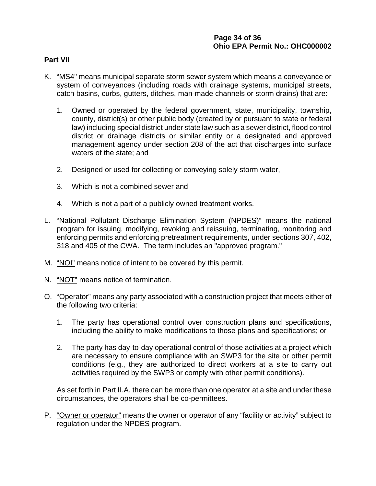## **Page 34 of 36 Ohio EPA Permit No.: OHC000002**

#### **Part VII**

- K. "MS4" means municipal separate storm sewer system which means a conveyance or system of conveyances (including roads with drainage systems, municipal streets, catch basins, curbs, gutters, ditches, man-made channels or storm drains) that are:
	- 1. Owned or operated by the federal government, state, municipality, township, county, district(s) or other public body (created by or pursuant to state or federal law) including special district under state law such as a sewer district, flood control district or drainage districts or similar entity or a designated and approved management agency under section 208 of the act that discharges into surface waters of the state; and
	- 2. Designed or used for collecting or conveying solely storm water,
	- 3. Which is not a combined sewer and
	- 4. Which is not a part of a publicly owned treatment works.
- L. "National Pollutant Discharge Elimination System (NPDES)" means the national program for issuing, modifying, revoking and reissuing, terminating, monitoring and enforcing permits and enforcing pretreatment requirements, under sections 307, 402, 318 and 405 of the CWA. The term includes an "approved program."
- M. "NOI" means notice of intent to be covered by this permit.
- N. "NOT" means notice of termination.
- O. "Operator" means any party associated with a construction project that meets either of the following two criteria:
	- 1. The party has operational control over construction plans and specifications, including the ability to make modifications to those plans and specifications; or
	- 2. The party has day-to-day operational control of those activities at a project which are necessary to ensure compliance with an SWP3 for the site or other permit conditions (e.g., they are authorized to direct workers at a site to carry out activities required by the SWP3 or comply with other permit conditions).

As set forth in Part II.A, there can be more than one operator at a site and under these circumstances, the operators shall be co-permittees.

P. "Owner or operator" means the owner or operator of any "facility or activity" subject to regulation under the NPDES program.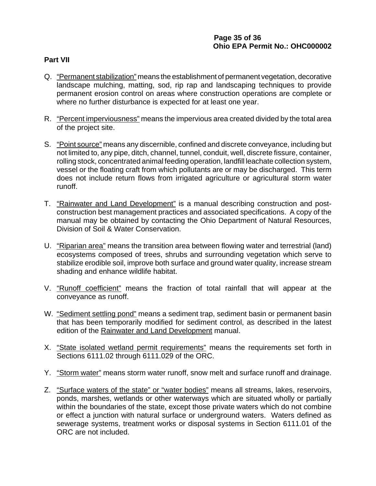### **Part VII**

- Q. "Permanent stabilization" means the establishment of permanent vegetation, decorative landscape mulching, matting, sod, rip rap and landscaping techniques to provide permanent erosion control on areas where construction operations are complete or where no further disturbance is expected for at least one year.
- R. "Percent imperviousness" means the impervious area created divided by the total area of the project site.
- S. "Point source" means any discernible, confined and discrete conveyance, including but not limited to, any pipe, ditch, channel, tunnel, conduit, well, discrete fissure, container, rolling stock, concentrated animal feeding operation, landfill leachate collection system, vessel or the floating craft from which pollutants are or may be discharged. This term does not include return flows from irrigated agriculture or agricultural storm water runoff.
- T. "Rainwater and Land Development" is a manual describing construction and postconstruction best management practices and associated specifications. A copy of the manual may be obtained by contacting the Ohio Department of Natural Resources, Division of Soil & Water Conservation.
- U. "Riparian area" means the transition area between flowing water and terrestrial (land) ecosystems composed of trees, shrubs and surrounding vegetation which serve to stabilize erodible soil, improve both surface and ground water quality, increase stream shading and enhance wildlife habitat.
- V. "Runoff coefficient" means the fraction of total rainfall that will appear at the conveyance as runoff.
- W. "Sediment settling pond" means a sediment trap, sediment basin or permanent basin that has been temporarily modified for sediment control, as described in the latest edition of the Rainwater and Land Development manual.
- X. "State isolated wetland permit requirements" means the requirements set forth in Sections 6111.02 through 6111.029 of the ORC.
- Y. "Storm water" means storm water runoff, snow melt and surface runoff and drainage.
- Z. "Surface waters of the state" or "water bodies" means all streams, lakes, reservoirs, ponds, marshes, wetlands or other waterways which are situated wholly or partially within the boundaries of the state, except those private waters which do not combine or effect a junction with natural surface or underground waters. Waters defined as sewerage systems, treatment works or disposal systems in Section 6111.01 of the ORC are not included.